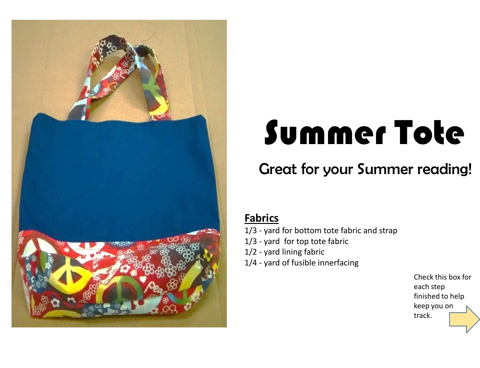

## Summer Tote

## Great for your Summer reading!

## **Fabrics**

- 1/3 yard for bottom tote fabric and strap
- 1/3 yard for top tote fabric
- 1/2 yard lining fabric
- 1/4 yard of fusible innerfacing

Check this box for each step finished to help keep you on track.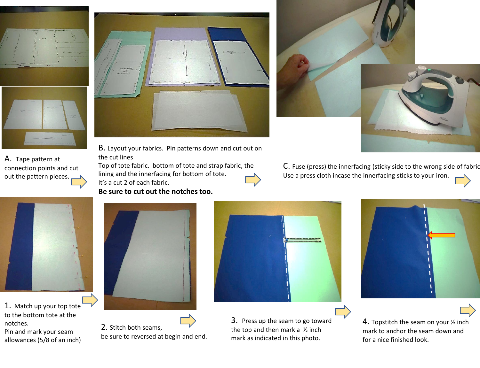

A. Tape pattern at connection points and cut out the pattern pieces.



B. Layout your fabrics. Pin patterns down and cut out on the cut lines

Top of tote fabric. bottom of tote and strap fabric, the lining and the innerfacing for bottom of tote. It's a cut 2 of each fabric.

**Be sure to cut out the notches too.** 





C. Fuse (press) the innerfacing (sticky side to the wrong side of fabric.



1. Match up your top tote to the bottom tote at the notches.

Pin and mark your seam allowances (5/8 of an inch)



2. Stitch both seams, be sure to reversed at begin and end.



3. Press up the seam to go toward the top and then mark a  $\frac{1}{2}$  inch mark as indicated in this photo.



4. Topstitch the seam on your ½ inch mark to anchor the seam down and for a nice finished look.

Use a press cloth incase the innerfacing sticks to your iron.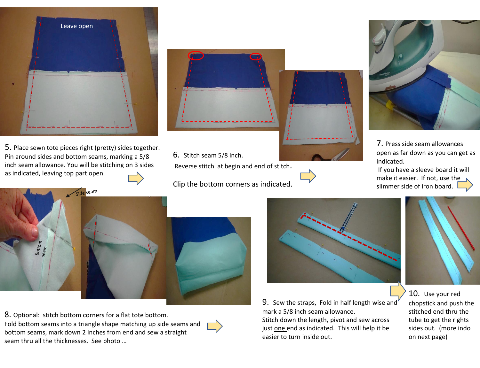

5. Place sewn tote pieces right (pretty) sides together. Pin around sides and bottom seams, marking a 5/8 inch seam allowance. You will be stitching on 3 sides as indicated, leaving top part open.

seam



6. Stitch seam 5/8 inch.

Reverse stitch at begin and end of stitch.

Clip the bottom corners as indicated.



7. Press side seam allowances open as far down as you can get as indicated.

If you have a sleeve board it will make it easier. If not, use the slimmer side of iron board.



8. Optional: stitch bottom corners for a flat tote bottom. Fold bottom seams into a triangle shape matching up side seams and bottom seams, mark down 2 inches from end and sew a straight seam thru all the thicknesses. See photo …



9. Sew the straps, Fold in half length wise and mark a 5/8 inch seam allowance.

Stitch down the length, pivot and sew across just one end as indicated. This will help it be easier to turn inside out.



10. Use your red chopstick and push the stitched end thru the tube to get the rights sides out. (more indo on next page)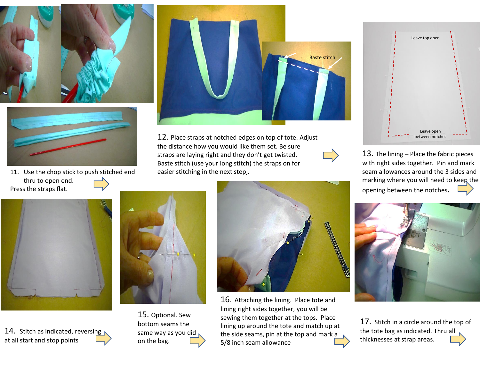



11. Use the chop stick to push stitched end thru to open end. Press the straps flat.



12. Place straps at notched edges on top of tote. Adjust the distance how you would like them set. Be sure straps are laying right and they don't get twisted. Baste stitch (use your long stitch) the straps on for easier stitching in the next step,.



13. The lining – Place the fabric pieces with right sides together. Pin and mark seam allowances around the 3 sides and marking where you will need to keep the opening between the notches.



14. Stitch as indicated, reversing at all start and stop points



15. Optional. Sew bottom seams the same way as you did on the bag.



16. Attaching the lining. Place tote and lining right sides together, you will be sewing them together at the tops. Place lining up around the tote and match up at the side seams, pin at the top and mark a 5/8 inch seam allowance



17. Stitch in a circle around the top of the tote bag as indicated. Thru all thicknesses at strap areas.